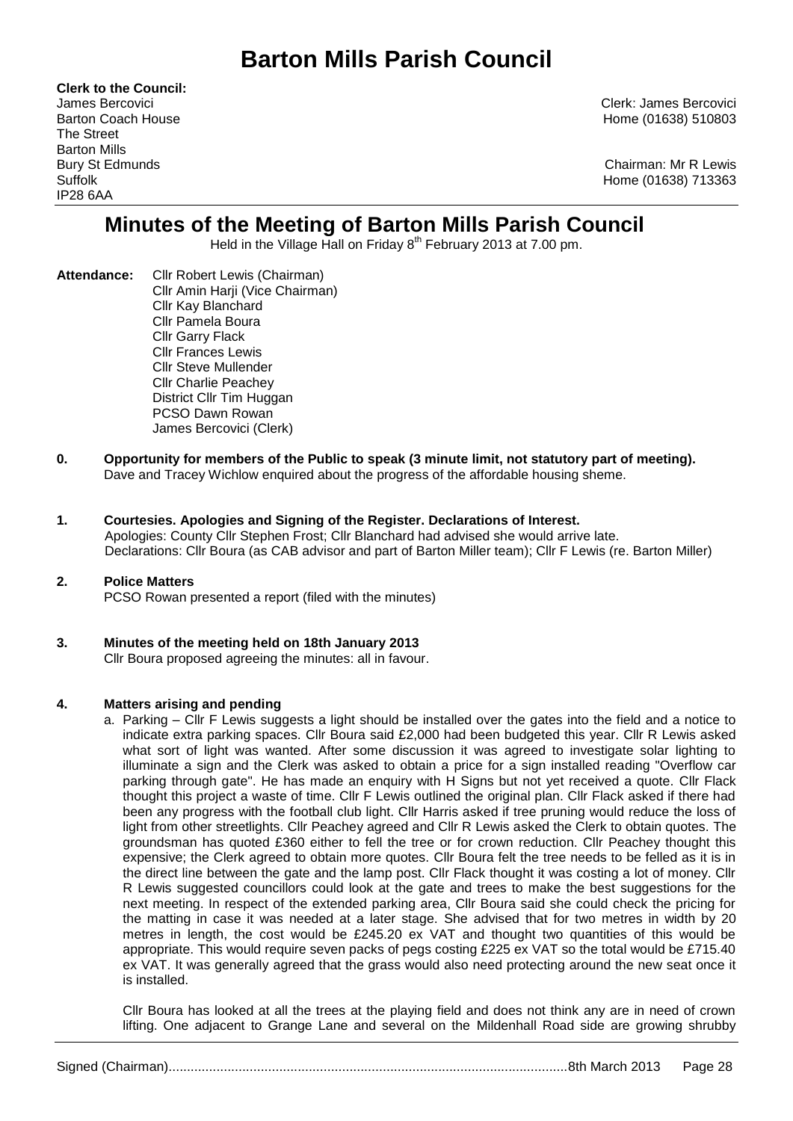# **Barton Mills Parish Council**

**Clerk to the Council:** The Street Barton Mills IP28 6AA

James Bercovici Clerk: James Bercovici Barton Coach House **Home (01638)** 510803

Bury St Edmunds Chairman: Mr R Lewis Suffolk Home (01638) 713363

## **Minutes of the Meeting of Barton Mills Parish Council**

Held in the Village Hall on Friday 8<sup>th</sup> February 2013 at 7.00 pm.

- **Attendance:** Cllr Robert Lewis (Chairman) Cllr Amin Harji (Vice Chairman) Cllr Kay Blanchard Cllr Pamela Boura Cllr Garry Flack Cllr Frances Lewis Cllr Steve Mullender Cllr Charlie Peachey District Cllr Tim Huggan PCSO Dawn Rowan James Bercovici (Clerk)
- **0. Opportunity for members of the Public to speak (3 minute limit, not statutory part of meeting).**  Dave and Tracey Wichlow enquired about the progress of the affordable housing sheme.
- **1. Courtesies. Apologies and Signing of the Register. Declarations of Interest.** Apologies: County Cllr Stephen Frost; Cllr Blanchard had advised she would arrive late. Declarations: Cllr Boura (as CAB advisor and part of Barton Miller team); Cllr F Lewis (re. Barton Miller)
- **2. Police Matters** PCSO Rowan presented a report (filed with the minutes)
- **3. Minutes of the meeting held on 18th January 2013** Cllr Boura proposed agreeing the minutes: all in favour.

## **4. Matters arising and pending**

a. Parking – Cllr F Lewis suggests a light should be installed over the gates into the field and a notice to indicate extra parking spaces. Cllr Boura said £2,000 had been budgeted this year. Cllr R Lewis asked what sort of light was wanted. After some discussion it was agreed to investigate solar lighting to illuminate a sign and the Clerk was asked to obtain a price for a sign installed reading "Overflow car parking through gate". He has made an enquiry with H Signs but not yet received a quote. Cllr Flack thought this project a waste of time. Cllr F Lewis outlined the original plan. Cllr Flack asked if there had been any progress with the football club light. Cllr Harris asked if tree pruning would reduce the loss of light from other streetlights. Cllr Peachey agreed and Cllr R Lewis asked the Clerk to obtain quotes. The groundsman has quoted £360 either to fell the tree or for crown reduction. Cllr Peachey thought this expensive; the Clerk agreed to obtain more quotes. Cllr Boura felt the tree needs to be felled as it is in the direct line between the gate and the lamp post. Cllr Flack thought it was costing a lot of money. Cllr R Lewis suggested councillors could look at the gate and trees to make the best suggestions for the next meeting. In respect of the extended parking area, Cllr Boura said she could check the pricing for the matting in case it was needed at a later stage. She advised that for two metres in width by 20 metres in length, the cost would be £245.20 ex VAT and thought two quantities of this would be appropriate. This would require seven packs of pegs costing £225 ex VAT so the total would be £715.40 ex VAT. It was generally agreed that the grass would also need protecting around the new seat once it is installed.

Cllr Boura has looked at all the trees at the playing field and does not think any are in need of crown lifting. One adjacent to Grange Lane and several on the Mildenhall Road side are growing shrubby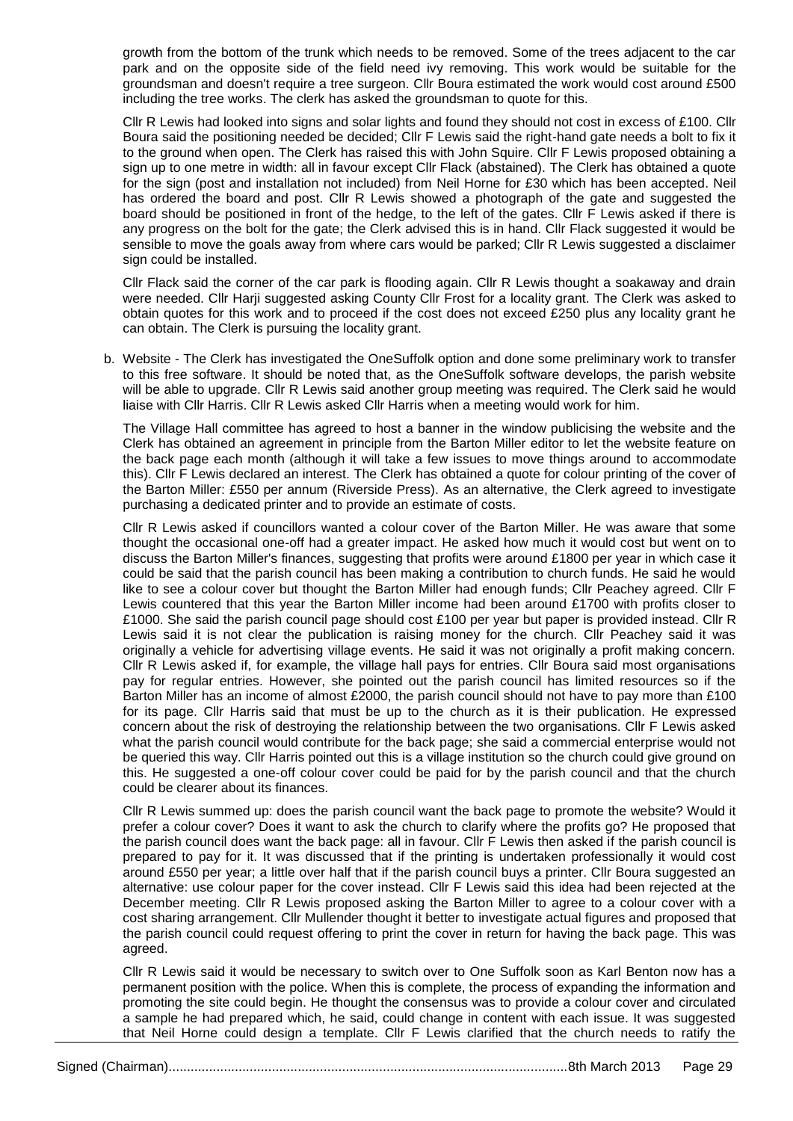growth from the bottom of the trunk which needs to be removed. Some of the trees adjacent to the car park and on the opposite side of the field need ivy removing. This work would be suitable for the groundsman and doesn't require a tree surgeon. Cllr Boura estimated the work would cost around £500 including the tree works. The clerk has asked the groundsman to quote for this.

Cllr R Lewis had looked into signs and solar lights and found they should not cost in excess of £100. Cllr Boura said the positioning needed be decided; Cllr F Lewis said the right-hand gate needs a bolt to fix it to the ground when open. The Clerk has raised this with John Squire. Cllr F Lewis proposed obtaining a sign up to one metre in width: all in favour except Cllr Flack (abstained). The Clerk has obtained a quote for the sign (post and installation not included) from Neil Horne for £30 which has been accepted. Neil has ordered the board and post. Cllr R Lewis showed a photograph of the gate and suggested the board should be positioned in front of the hedge, to the left of the gates. Cllr F Lewis asked if there is any progress on the bolt for the gate; the Clerk advised this is in hand. Cllr Flack suggested it would be sensible to move the goals away from where cars would be parked; Cllr R Lewis suggested a disclaimer sign could be installed.

Cllr Flack said the corner of the car park is flooding again. Cllr R Lewis thought a soakaway and drain were needed. Cllr Harji suggested asking County Cllr Frost for a locality grant. The Clerk was asked to obtain quotes for this work and to proceed if the cost does not exceed £250 plus any locality grant he can obtain. The Clerk is pursuing the locality grant.

b. Website - The Clerk has investigated the OneSuffolk option and done some preliminary work to transfer to this free software. It should be noted that, as the OneSuffolk software develops, the parish website will be able to upgrade. Cllr R Lewis said another group meeting was required. The Clerk said he would liaise with Cllr Harris. Cllr R Lewis asked Cllr Harris when a meeting would work for him.

The Village Hall committee has agreed to host a banner in the window publicising the website and the Clerk has obtained an agreement in principle from the Barton Miller editor to let the website feature on the back page each month (although it will take a few issues to move things around to accommodate this). Cllr F Lewis declared an interest. The Clerk has obtained a quote for colour printing of the cover of the Barton Miller: £550 per annum (Riverside Press). As an alternative, the Clerk agreed to investigate purchasing a dedicated printer and to provide an estimate of costs.

Cllr R Lewis asked if councillors wanted a colour cover of the Barton Miller. He was aware that some thought the occasional one-off had a greater impact. He asked how much it would cost but went on to discuss the Barton Miller's finances, suggesting that profits were around £1800 per year in which case it could be said that the parish council has been making a contribution to church funds. He said he would like to see a colour cover but thought the Barton Miller had enough funds; Cllr Peachey agreed. Cllr F Lewis countered that this year the Barton Miller income had been around £1700 with profits closer to £1000. She said the parish council page should cost £100 per year but paper is provided instead. Cllr R Lewis said it is not clear the publication is raising money for the church. Cllr Peachey said it was originally a vehicle for advertising village events. He said it was not originally a profit making concern. Cllr R Lewis asked if, for example, the village hall pays for entries. Cllr Boura said most organisations pay for regular entries. However, she pointed out the parish council has limited resources so if the Barton Miller has an income of almost £2000, the parish council should not have to pay more than £100 for its page. Cllr Harris said that must be up to the church as it is their publication. He expressed concern about the risk of destroying the relationship between the two organisations. Cllr F Lewis asked what the parish council would contribute for the back page; she said a commercial enterprise would not be queried this way. Cllr Harris pointed out this is a village institution so the church could give ground on this. He suggested a one-off colour cover could be paid for by the parish council and that the church could be clearer about its finances.

Cllr R Lewis summed up: does the parish council want the back page to promote the website? Would it prefer a colour cover? Does it want to ask the church to clarify where the profits go? He proposed that the parish council does want the back page: all in favour. Cllr F Lewis then asked if the parish council is prepared to pay for it. It was discussed that if the printing is undertaken professionally it would cost around £550 per year; a little over half that if the parish council buys a printer. Cllr Boura suggested an alternative: use colour paper for the cover instead. Cllr F Lewis said this idea had been rejected at the December meeting. Cllr R Lewis proposed asking the Barton Miller to agree to a colour cover with a cost sharing arrangement. Cllr Mullender thought it better to investigate actual figures and proposed that the parish council could request offering to print the cover in return for having the back page. This was agreed.

Cllr R Lewis said it would be necessary to switch over to One Suffolk soon as Karl Benton now has a permanent position with the police. When this is complete, the process of expanding the information and promoting the site could begin. He thought the consensus was to provide a colour cover and circulated a sample he had prepared which, he said, could change in content with each issue. It was suggested that Neil Horne could design a template. Cllr F Lewis clarified that the church needs to ratify the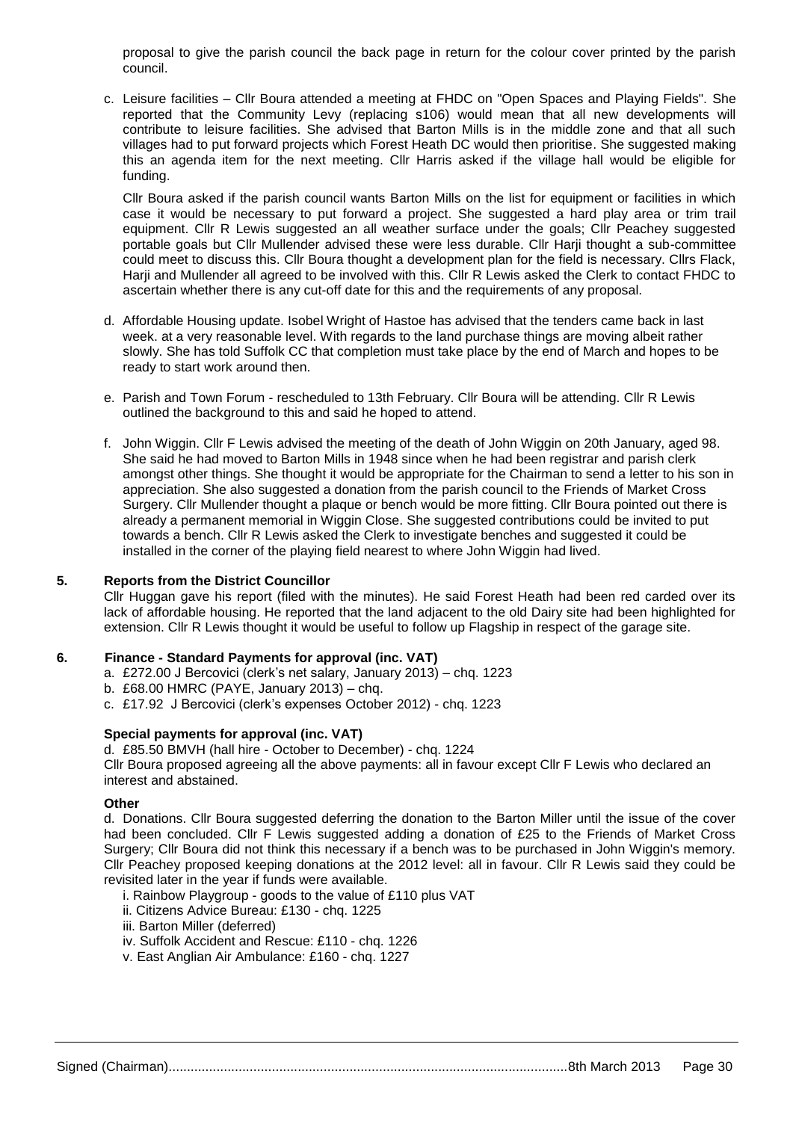proposal to give the parish council the back page in return for the colour cover printed by the parish council.

c. Leisure facilities – Cllr Boura attended a meeting at FHDC on "Open Spaces and Playing Fields". She reported that the Community Levy (replacing s106) would mean that all new developments will contribute to leisure facilities. She advised that Barton Mills is in the middle zone and that all such villages had to put forward projects which Forest Heath DC would then prioritise. She suggested making this an agenda item for the next meeting. Cllr Harris asked if the village hall would be eligible for funding.

Cllr Boura asked if the parish council wants Barton Mills on the list for equipment or facilities in which case it would be necessary to put forward a project. She suggested a hard play area or trim trail equipment. Cllr R Lewis suggested an all weather surface under the goals; Cllr Peachey suggested portable goals but Cllr Mullender advised these were less durable. Cllr Harji thought a sub-committee could meet to discuss this. Cllr Boura thought a development plan for the field is necessary. Cllrs Flack, Harji and Mullender all agreed to be involved with this. Cllr R Lewis asked the Clerk to contact FHDC to ascertain whether there is any cut-off date for this and the requirements of any proposal.

- d. Affordable Housing update. Isobel Wright of Hastoe has advised that the tenders came back in last week. at a very reasonable level. With regards to the land purchase things are moving albeit rather slowly. She has told Suffolk CC that completion must take place by the end of March and hopes to be ready to start work around then.
- e. Parish and Town Forum rescheduled to 13th February. Cllr Boura will be attending. Cllr R Lewis outlined the background to this and said he hoped to attend.
- f. John Wiggin. Cllr F Lewis advised the meeting of the death of John Wiggin on 20th January, aged 98. She said he had moved to Barton Mills in 1948 since when he had been registrar and parish clerk amongst other things. She thought it would be appropriate for the Chairman to send a letter to his son in appreciation. She also suggested a donation from the parish council to the Friends of Market Cross Surgery. Cllr Mullender thought a plaque or bench would be more fitting. Cllr Boura pointed out there is already a permanent memorial in Wiggin Close. She suggested contributions could be invited to put towards a bench. Cllr R Lewis asked the Clerk to investigate benches and suggested it could be installed in the corner of the playing field nearest to where John Wiggin had lived.

#### **5. Reports from the District Councillor**

Cllr Huggan gave his report (filed with the minutes). He said Forest Heath had been red carded over its lack of affordable housing. He reported that the land adjacent to the old Dairy site had been highlighted for extension. Cllr R Lewis thought it would be useful to follow up Flagship in respect of the garage site.

#### **6. Finance - Standard Payments for approval (inc. VAT)**

- a. £272.00 J Bercovici (clerk's net salary, January 2013) chq. 1223
- b. £68.00 HMRC (PAYE, January 2013) chq.
- c. £17.92 J Bercovici (clerk's expenses October 2012) chq. 1223

## **Special payments for approval (inc. VAT)**

d. £85.50 BMVH (hall hire - October to December) - chq. 1224

Cllr Boura proposed agreeing all the above payments: all in favour except Cllr F Lewis who declared an interest and abstained.

#### **Other**

d. Donations. Cllr Boura suggested deferring the donation to the Barton Miller until the issue of the cover had been concluded. Cllr F Lewis suggested adding a donation of £25 to the Friends of Market Cross Surgery; Cllr Boura did not think this necessary if a bench was to be purchased in John Wiggin's memory. Cllr Peachey proposed keeping donations at the 2012 level: all in favour. Cllr R Lewis said they could be revisited later in the year if funds were available.

- i. Rainbow Playgroup goods to the value of £110 plus VAT
- ii. Citizens Advice Bureau: £130 chq. 1225
- iii. Barton Miller (deferred)
- iv. Suffolk Accident and Rescue: £110 chq. 1226
- v. East Anglian Air Ambulance: £160 chq. 1227